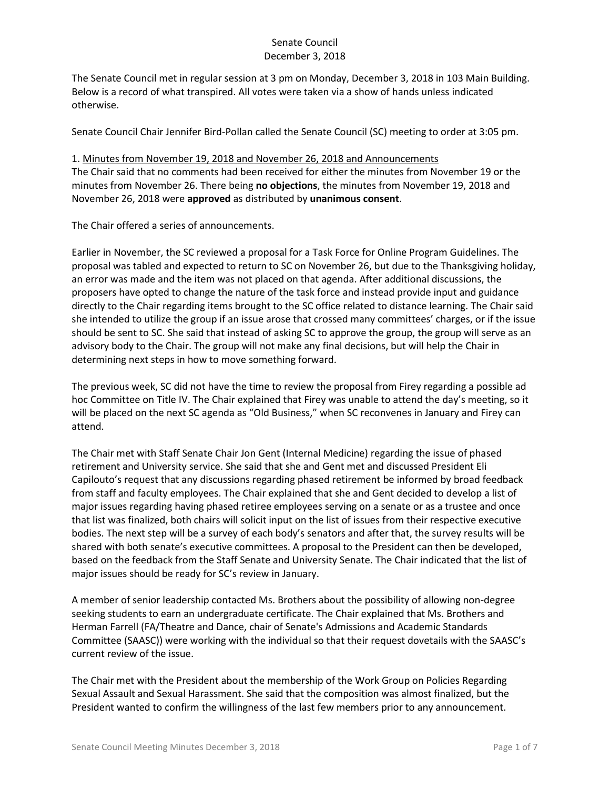The Senate Council met in regular session at 3 pm on Monday, December 3, 2018 in 103 Main Building. Below is a record of what transpired. All votes were taken via a show of hands unless indicated otherwise.

Senate Council Chair Jennifer Bird-Pollan called the Senate Council (SC) meeting to order at 3:05 pm.

1. Minutes from November 19, 2018 and November 26, 2018 and Announcements The Chair said that no comments had been received for either the minutes from November 19 or the minutes from November 26. There being **no objections**, the minutes from November 19, 2018 and November 26, 2018 were **approved** as distributed by **unanimous consent**.

The Chair offered a series of announcements.

Earlier in November, the SC reviewed a proposal for a Task Force for Online Program Guidelines. The proposal was tabled and expected to return to SC on November 26, but due to the Thanksgiving holiday, an error was made and the item was not placed on that agenda. After additional discussions, the proposers have opted to change the nature of the task force and instead provide input and guidance directly to the Chair regarding items brought to the SC office related to distance learning. The Chair said she intended to utilize the group if an issue arose that crossed many committees' charges, or if the issue should be sent to SC. She said that instead of asking SC to approve the group, the group will serve as an advisory body to the Chair. The group will not make any final decisions, but will help the Chair in determining next steps in how to move something forward.

The previous week, SC did not have the time to review the proposal from Firey regarding a possible ad hoc Committee on Title IV. The Chair explained that Firey was unable to attend the day's meeting, so it will be placed on the next SC agenda as "Old Business," when SC reconvenes in January and Firey can attend.

The Chair met with Staff Senate Chair Jon Gent (Internal Medicine) regarding the issue of phased retirement and University service. She said that she and Gent met and discussed President Eli Capilouto's request that any discussions regarding phased retirement be informed by broad feedback from staff and faculty employees. The Chair explained that she and Gent decided to develop a list of major issues regarding having phased retiree employees serving on a senate or as a trustee and once that list was finalized, both chairs will solicit input on the list of issues from their respective executive bodies. The next step will be a survey of each body's senators and after that, the survey results will be shared with both senate's executive committees. A proposal to the President can then be developed, based on the feedback from the Staff Senate and University Senate. The Chair indicated that the list of major issues should be ready for SC's review in January.

A member of senior leadership contacted Ms. Brothers about the possibility of allowing non-degree seeking students to earn an undergraduate certificate. The Chair explained that Ms. Brothers and Herman Farrell (FA/Theatre and Dance, chair of Senate's Admissions and Academic Standards Committee (SAASC)) were working with the individual so that their request dovetails with the SAASC's current review of the issue.

The Chair met with the President about the membership of the Work Group on Policies Regarding Sexual Assault and Sexual Harassment. She said that the composition was almost finalized, but the President wanted to confirm the willingness of the last few members prior to any announcement.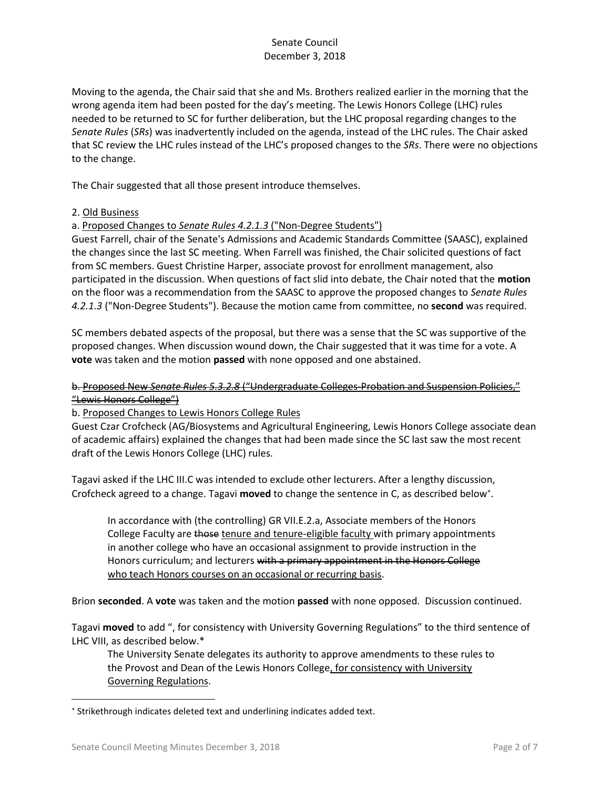Moving to the agenda, the Chair said that she and Ms. Brothers realized earlier in the morning that the wrong agenda item had been posted for the day's meeting. The Lewis Honors College (LHC) rules needed to be returned to SC for further deliberation, but the LHC proposal regarding changes to the *Senate Rules* (*SRs*) was inadvertently included on the agenda, instead of the LHC rules. The Chair asked that SC review the LHC rules instead of the LHC's proposed changes to the *SRs*. There were no objections to the change.

The Chair suggested that all those present introduce themselves.

### 2. Old Business

a. Proposed Changes to *Senate Rules 4.2.1.3* ("Non-Degree Students")

Guest Farrell, chair of the Senate's Admissions and Academic Standards Committee (SAASC), explained the changes since the last SC meeting. When Farrell was finished, the Chair solicited questions of fact from SC members. Guest Christine Harper, associate provost for enrollment management, also participated in the discussion. When questions of fact slid into debate, the Chair noted that the **motion** on the floor was a recommendation from the SAASC to approve the proposed changes to *Senate Rules 4.2.1.3* ("Non-Degree Students"). Because the motion came from committee, no **second** was required.

SC members debated aspects of the proposal, but there was a sense that the SC was supportive of the proposed changes. When discussion wound down, the Chair suggested that it was time for a vote. A **vote** was taken and the motion **passed** with none opposed and one abstained.

### b. Proposed New *Senate Rules 5.3.2.8* ("Undergraduate Colleges-Probation and Suspension Policies," "Lewis Honors College")

b. Proposed Changes to Lewis Honors College Rules

Guest Czar Crofcheck (AG/Biosystems and Agricultural Engineering, Lewis Honors College associate dean of academic affairs) explained the changes that had been made since the SC last saw the most recent draft of the Lewis Honors College (LHC) rules.

Tagavi asked if the LHC III.C was intended to exclude other lecturers. After a lengthy discussion, Crofcheck agreed to a change. Tagavi **moved** to change the sentence in C, as described below .

In accordance with (the controlling) GR VII.E.2.a, Associate members of the Honors College Faculty are those tenure and tenure-eligible faculty with primary appointments in another college who have an occasional assignment to provide instruction in the Honors curriculum; and lecturers with a primary appointment in the Honors College who teach Honors courses on an occasional or recurring basis.

Brion **seconded**. A **vote** was taken and the motion **passed** with none opposed. Discussion continued.

Tagavi **moved** to add ", for consistency with University Governing Regulations" to the third sentence of LHC VIII, as described below.\*

The University Senate delegates its authority to approve amendments to these rules to the Provost and Dean of the Lewis Honors College, for consistency with University Governing Regulations.

 $\overline{\phantom{a}}$ 

Strikethrough indicates deleted text and underlining indicates added text.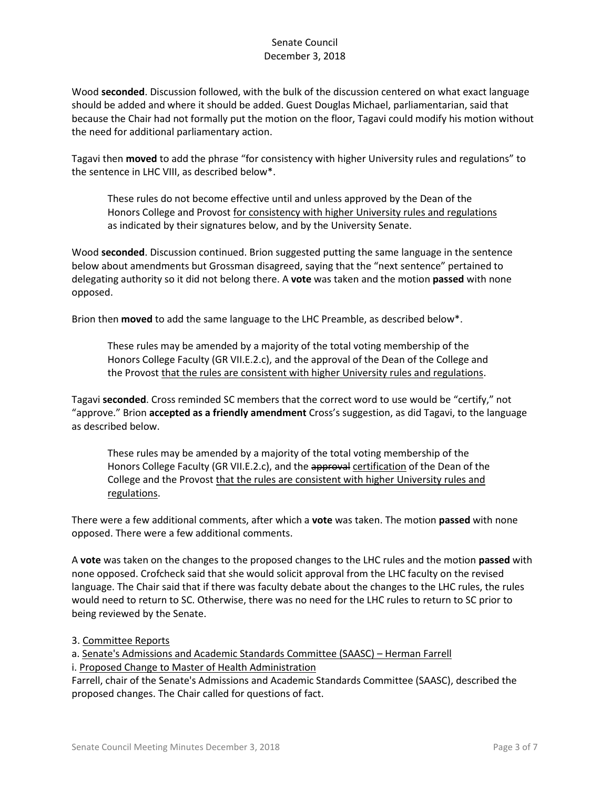Wood **seconded**. Discussion followed, with the bulk of the discussion centered on what exact language should be added and where it should be added. Guest Douglas Michael, parliamentarian, said that because the Chair had not formally put the motion on the floor, Tagavi could modify his motion without the need for additional parliamentary action.

Tagavi then **moved** to add the phrase "for consistency with higher University rules and regulations" to the sentence in LHC VIII, as described below\*.

These rules do not become effective until and unless approved by the Dean of the Honors College and Provost for consistency with higher University rules and regulations as indicated by their signatures below, and by the University Senate.

Wood **seconded**. Discussion continued. Brion suggested putting the same language in the sentence below about amendments but Grossman disagreed, saying that the "next sentence" pertained to delegating authority so it did not belong there. A **vote** was taken and the motion **passed** with none opposed.

Brion then **moved** to add the same language to the LHC Preamble, as described below\*.

These rules may be amended by a majority of the total voting membership of the Honors College Faculty (GR VII.E.2.c), and the approval of the Dean of the College and the Provost that the rules are consistent with higher University rules and regulations.

Tagavi **seconded**. Cross reminded SC members that the correct word to use would be "certify," not "approve." Brion **accepted as a friendly amendment** Cross's suggestion, as did Tagavi, to the language as described below.

These rules may be amended by a majority of the total voting membership of the Honors College Faculty (GR VII.E.2.c), and the approval certification of the Dean of the College and the Provost that the rules are consistent with higher University rules and regulations.

There were a few additional comments, after which a **vote** was taken. The motion **passed** with none opposed. There were a few additional comments.

A **vote** was taken on the changes to the proposed changes to the LHC rules and the motion **passed** with none opposed. Crofcheck said that she would solicit approval from the LHC faculty on the revised language. The Chair said that if there was faculty debate about the changes to the LHC rules, the rules would need to return to SC. Otherwise, there was no need for the LHC rules to return to SC prior to being reviewed by the Senate.

### 3. Committee Reports

a. Senate's Admissions and Academic Standards Committee (SAASC) – Herman Farrell

i. Proposed Change to Master of Health Administration

Farrell, chair of the Senate's Admissions and Academic Standards Committee (SAASC), described the proposed changes. The Chair called for questions of fact.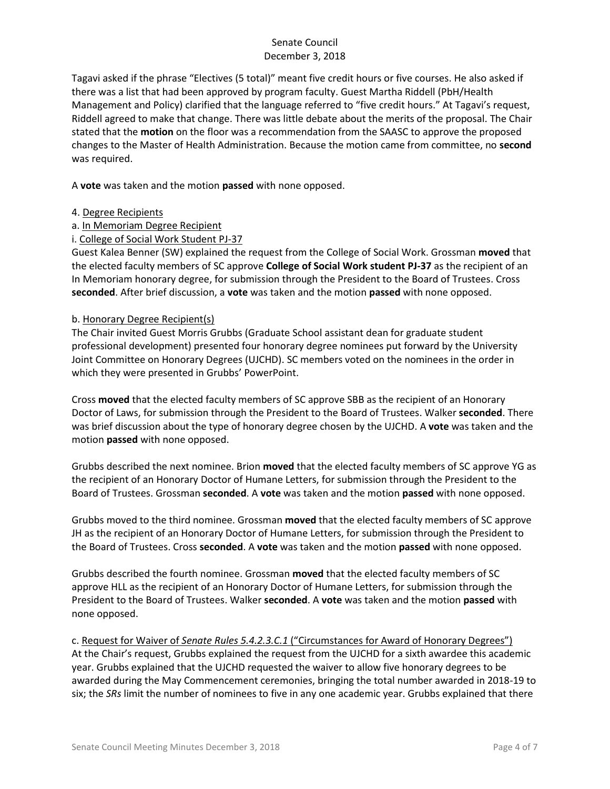Tagavi asked if the phrase "Electives (5 total)" meant five credit hours or five courses. He also asked if there was a list that had been approved by program faculty. Guest Martha Riddell (PbH/Health Management and Policy) clarified that the language referred to "five credit hours." At Tagavi's request, Riddell agreed to make that change. There was little debate about the merits of the proposal. The Chair stated that the **motion** on the floor was a recommendation from the SAASC to approve the proposed changes to the Master of Health Administration. Because the motion came from committee, no **second** was required.

A **vote** was taken and the motion **passed** with none opposed.

- 4. Degree Recipients
- a. In Memoriam Degree Recipient
- i. College of Social Work Student PJ-37

Guest Kalea Benner (SW) explained the request from the College of Social Work. Grossman **moved** that the elected faculty members of SC approve **College of Social Work student PJ-37** as the recipient of an In Memoriam honorary degree, for submission through the President to the Board of Trustees. Cross **seconded**. After brief discussion, a **vote** was taken and the motion **passed** with none opposed.

### b. Honorary Degree Recipient(s)

The Chair invited Guest Morris Grubbs (Graduate School assistant dean for graduate student professional development) presented four honorary degree nominees put forward by the University Joint Committee on Honorary Degrees (UJCHD). SC members voted on the nominees in the order in which they were presented in Grubbs' PowerPoint.

Cross **moved** that the elected faculty members of SC approve SBB as the recipient of an Honorary Doctor of Laws, for submission through the President to the Board of Trustees. Walker **seconded**. There was brief discussion about the type of honorary degree chosen by the UJCHD. A **vote** was taken and the motion **passed** with none opposed.

Grubbs described the next nominee. Brion **moved** that the elected faculty members of SC approve YG as the recipient of an Honorary Doctor of Humane Letters, for submission through the President to the Board of Trustees. Grossman **seconded**. A **vote** was taken and the motion **passed** with none opposed.

Grubbs moved to the third nominee. Grossman **moved** that the elected faculty members of SC approve JH as the recipient of an Honorary Doctor of Humane Letters, for submission through the President to the Board of Trustees. Cross **seconded**. A **vote** was taken and the motion **passed** with none opposed.

Grubbs described the fourth nominee. Grossman **moved** that the elected faculty members of SC approve HLL as the recipient of an Honorary Doctor of Humane Letters, for submission through the President to the Board of Trustees. Walker **seconded**. A **vote** was taken and the motion **passed** with none opposed.

c. Request for Waiver of *Senate Rules 5.4.2.3.C.1* ("Circumstances for Award of Honorary Degrees") At the Chair's request, Grubbs explained the request from the UJCHD for a sixth awardee this academic year. Grubbs explained that the UJCHD requested the waiver to allow five honorary degrees to be awarded during the May Commencement ceremonies, bringing the total number awarded in 2018-19 to six; the *SRs* limit the number of nominees to five in any one academic year. Grubbs explained that there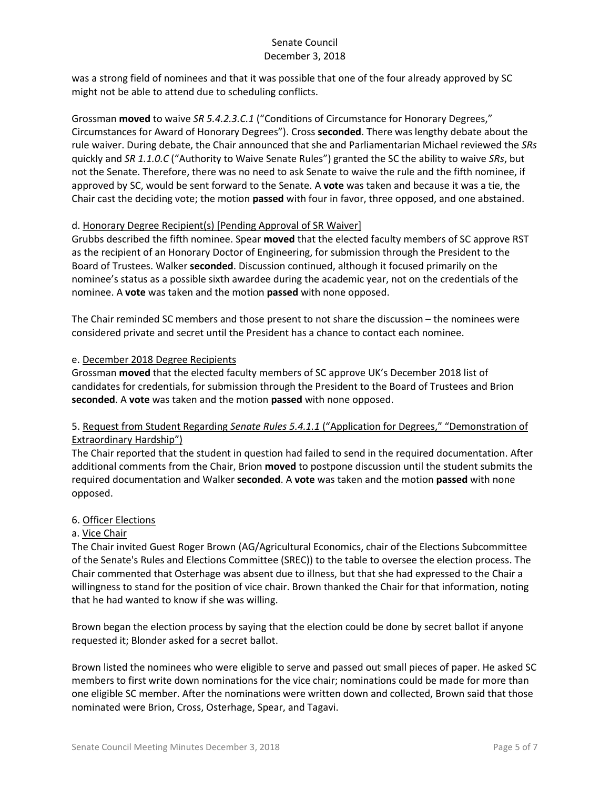was a strong field of nominees and that it was possible that one of the four already approved by SC might not be able to attend due to scheduling conflicts.

Grossman **moved** to waive *SR 5.4.2.3.C.1* ("Conditions of Circumstance for Honorary Degrees," Circumstances for Award of Honorary Degrees"). Cross **seconded**. There was lengthy debate about the rule waiver. During debate, the Chair announced that she and Parliamentarian Michael reviewed the *SRs* quickly and *SR 1.1.0.C* ("Authority to Waive Senate Rules") granted the SC the ability to waive *SRs*, but not the Senate. Therefore, there was no need to ask Senate to waive the rule and the fifth nominee, if approved by SC, would be sent forward to the Senate. A **vote** was taken and because it was a tie, the Chair cast the deciding vote; the motion **passed** with four in favor, three opposed, and one abstained.

### d. Honorary Degree Recipient(s) [Pending Approval of SR Waiver]

Grubbs described the fifth nominee. Spear **moved** that the elected faculty members of SC approve RST as the recipient of an Honorary Doctor of Engineering, for submission through the President to the Board of Trustees. Walker **seconded**. Discussion continued, although it focused primarily on the nominee's status as a possible sixth awardee during the academic year, not on the credentials of the nominee. A **vote** was taken and the motion **passed** with none opposed.

The Chair reminded SC members and those present to not share the discussion – the nominees were considered private and secret until the President has a chance to contact each nominee.

## e. December 2018 Degree Recipients

Grossman **moved** that the elected faculty members of SC approve UK's December 2018 list of candidates for credentials, for submission through the President to the Board of Trustees and Brion **seconded**. A **vote** was taken and the motion **passed** with none opposed.

# 5. Request from Student Regarding *Senate Rules 5.4.1.1* ("Application for Degrees," "Demonstration of Extraordinary Hardship")

The Chair reported that the student in question had failed to send in the required documentation. After additional comments from the Chair, Brion **moved** to postpone discussion until the student submits the required documentation and Walker **seconded**. A **vote** was taken and the motion **passed** with none opposed.

# 6. Officer Elections

### a. Vice Chair

The Chair invited Guest Roger Brown (AG/Agricultural Economics, chair of the Elections Subcommittee of the Senate's Rules and Elections Committee (SREC)) to the table to oversee the election process. The Chair commented that Osterhage was absent due to illness, but that she had expressed to the Chair a willingness to stand for the position of vice chair. Brown thanked the Chair for that information, noting that he had wanted to know if she was willing.

Brown began the election process by saying that the election could be done by secret ballot if anyone requested it; Blonder asked for a secret ballot.

Brown listed the nominees who were eligible to serve and passed out small pieces of paper. He asked SC members to first write down nominations for the vice chair; nominations could be made for more than one eligible SC member. After the nominations were written down and collected, Brown said that those nominated were Brion, Cross, Osterhage, Spear, and Tagavi.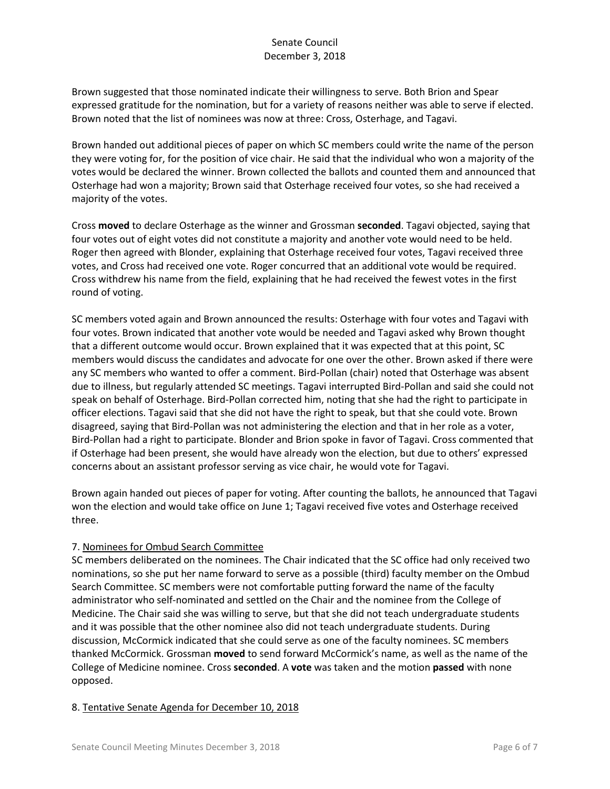Brown suggested that those nominated indicate their willingness to serve. Both Brion and Spear expressed gratitude for the nomination, but for a variety of reasons neither was able to serve if elected. Brown noted that the list of nominees was now at three: Cross, Osterhage, and Tagavi.

Brown handed out additional pieces of paper on which SC members could write the name of the person they were voting for, for the position of vice chair. He said that the individual who won a majority of the votes would be declared the winner. Brown collected the ballots and counted them and announced that Osterhage had won a majority; Brown said that Osterhage received four votes, so she had received a majority of the votes.

Cross **moved** to declare Osterhage as the winner and Grossman **seconded**. Tagavi objected, saying that four votes out of eight votes did not constitute a majority and another vote would need to be held. Roger then agreed with Blonder, explaining that Osterhage received four votes, Tagavi received three votes, and Cross had received one vote. Roger concurred that an additional vote would be required. Cross withdrew his name from the field, explaining that he had received the fewest votes in the first round of voting.

SC members voted again and Brown announced the results: Osterhage with four votes and Tagavi with four votes. Brown indicated that another vote would be needed and Tagavi asked why Brown thought that a different outcome would occur. Brown explained that it was expected that at this point, SC members would discuss the candidates and advocate for one over the other. Brown asked if there were any SC members who wanted to offer a comment. Bird-Pollan (chair) noted that Osterhage was absent due to illness, but regularly attended SC meetings. Tagavi interrupted Bird-Pollan and said she could not speak on behalf of Osterhage. Bird-Pollan corrected him, noting that she had the right to participate in officer elections. Tagavi said that she did not have the right to speak, but that she could vote. Brown disagreed, saying that Bird-Pollan was not administering the election and that in her role as a voter, Bird-Pollan had a right to participate. Blonder and Brion spoke in favor of Tagavi. Cross commented that if Osterhage had been present, she would have already won the election, but due to others' expressed concerns about an assistant professor serving as vice chair, he would vote for Tagavi.

Brown again handed out pieces of paper for voting. After counting the ballots, he announced that Tagavi won the election and would take office on June 1; Tagavi received five votes and Osterhage received three.

# 7. Nominees for Ombud Search Committee

SC members deliberated on the nominees. The Chair indicated that the SC office had only received two nominations, so she put her name forward to serve as a possible (third) faculty member on the Ombud Search Committee. SC members were not comfortable putting forward the name of the faculty administrator who self-nominated and settled on the Chair and the nominee from the College of Medicine. The Chair said she was willing to serve, but that she did not teach undergraduate students and it was possible that the other nominee also did not teach undergraduate students. During discussion, McCormick indicated that she could serve as one of the faculty nominees. SC members thanked McCormick. Grossman **moved** to send forward McCormick's name, as well as the name of the College of Medicine nominee. Cross **seconded**. A **vote** was taken and the motion **passed** with none opposed.

### 8. Tentative Senate Agenda for December 10, 2018